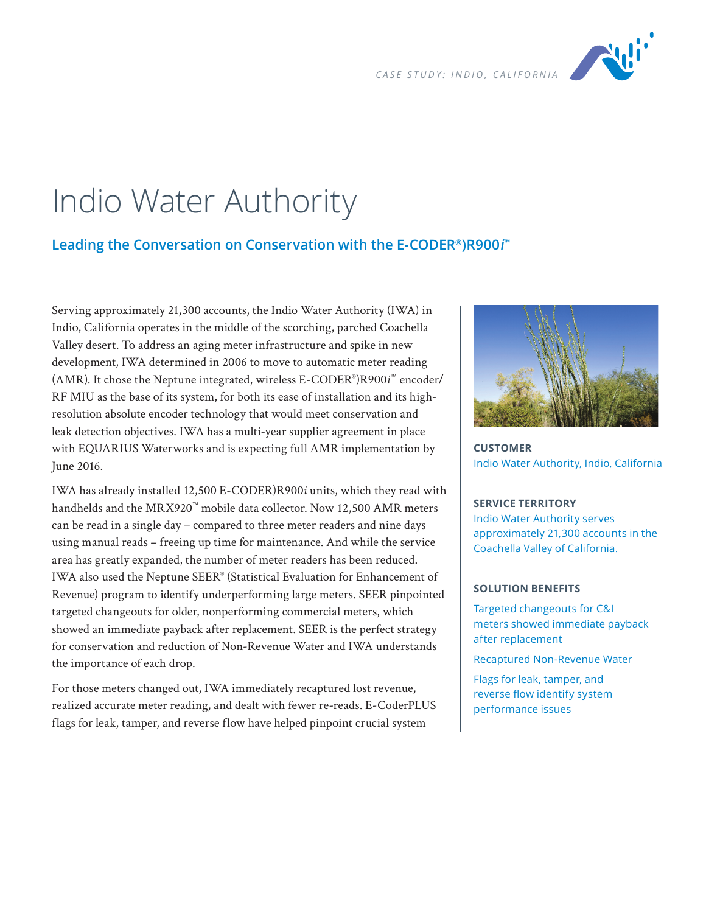

## Indio Water Authority

## **Leading the Conversation on Conservation with the E-CODER®)R900i ™**

Serving approximately 21,300 accounts, the Indio Water Authority (IWA) in Indio, California operates in the middle of the scorching, parched Coachella Valley desert. To address an aging meter infrastructure and spike in new development, IWA determined in 2006 to move to automatic meter reading (AMR). It chose the Neptune integrated, wireless E-CODER® )R900*i*™ encoder/ RF MIU as the base of its system, for both its ease of installation and its highresolution absolute encoder technology that would meet conservation and leak detection objectives. IWA has a multi-year supplier agreement in place with EQUARIUS Waterworks and is expecting full AMR implementation by June 2016.

IWA has already installed 12,500 E-CODER)R900*i* units, which they read with handhelds and the MRX920™ mobile data collector. Now 12,500 AMR meters can be read in a single day – compared to three meter readers and nine days using manual reads – freeing up time for maintenance. And while the service area has greatly expanded, the number of meter readers has been reduced. IWA also used the Neptune SEER® (Statistical Evaluation for Enhancement of Revenue) program to identify underperforming large meters. SEER pinpointed targeted changeouts for older, nonperforming commercial meters, which showed an immediate payback after replacement. SEER is the perfect strategy for conservation and reduction of Non-Revenue Water and IWA understands the importance of each drop.

For those meters changed out, IWA immediately recaptured lost revenue, realized accurate meter reading, and dealt with fewer re-reads. E-CoderPLUS flags for leak, tamper, and reverse flow have helped pinpoint crucial system



**CUSTOMER** Indio Water Authority, Indio, California

## **SERVICE TERRITORY**

Indio Water Authority serves approximately 21,300 accounts in the Coachella Valley of California.

## **SOLUTION BENEFITS**

Targeted changeouts for C&I meters showed immediate payback after replacement

Recaptured Non-Revenue Water

Flags for leak, tamper, and reverse flow identify system performance issues